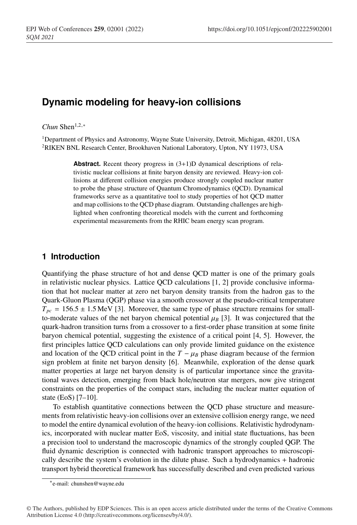# **Dynamic modeling for heavy-ion collisions**

*Chun* Shen1,2,<sup>∗</sup>

<sup>1</sup>Department of Physics and Astronomy, Wayne State University, Detroit, Michigan, 48201, USA 2RIKEN BNL Research Center, Brookhaven National Laboratory, Upton, NY 11973, USA

> **Abstract.** Recent theory progress in  $(3+1)D$  dynamical descriptions of relativistic nuclear collisions at finite baryon density are reviewed. Heavy-ion collisions at different collision energies produce strongly coupled nuclear matter to probe the phase structure of Quantum Chromodynamics (QCD). Dynamical frameworks serve as a quantitative tool to study properties of hot QCD matter and map collisions to the QCD phase diagram. Outstanding challenges are highlighted when confronting theoretical models with the current and forthcoming experimental measurements from the RHIC beam energy scan program.

## **1 Introduction**

Quantifying the phase structure of hot and dense QCD matter is one of the primary goals in relativistic nuclear physics. Lattice QCD calculations [1, 2] provide conclusive information that hot nuclear matter at zero net baryon density transits from the hadron gas to the Quark-Gluon Plasma (QGP) phase via a smooth crossover at the pseudo-critical temperature  $T_{pc}$  = 156.5  $\pm$  1.5 MeV [3]. Moreover, the same type of phase structure remains for smallto-moderate values of the net baryon chemical potential  $\mu_B$  [3]. It was conjectured that the quark-hadron transition turns from a crossover to a first-order phase transition at some finite baryon chemical potential, suggesting the existence of a critical point [4, 5]. However, the first principles lattice QCD calculations can only provide limited guidance on the existence and location of the QCD critical point in the  $T - \mu_B$  phase diagram because of the fermion sign problem at finite net baryon density [6]. Meanwhile, exploration of the dense quark matter properties at large net baryon density is of particular importance since the gravitational waves detection, emerging from black hole/neutron star mergers, now give stringent constraints on the properties of the compact stars, including the nuclear matter equation of state (EoS) [7–10].

To establish quantitative connections between the QCD phase structure and measurements from relativistic heavy-ion collisions over an extensive collision energy range, we need to model the entire dynamical evolution of the heavy-ion collisions. Relativistic hydrodynamics, incorporated with nuclear matter EoS, viscosity, and initial state fluctuations, has been a precision tool to understand the macroscopic dynamics of the strongly coupled QGP. The fluid dynamic description is connected with hadronic transport approaches to microscopically describe the system's evolution in the dilute phase. Such a hydrodynamics + hadronic transport hybrid theoretical framework has successfully described and even predicted various

<sup>∗</sup>e-mail: chunshen@wayne.edu

<sup>©</sup> The Authors, published by EDP Sciences. This is an open access article distributed under the terms of the Creative Commons Attribution License 4.0 (http://creativecommons.org/licenses/by/4.0/).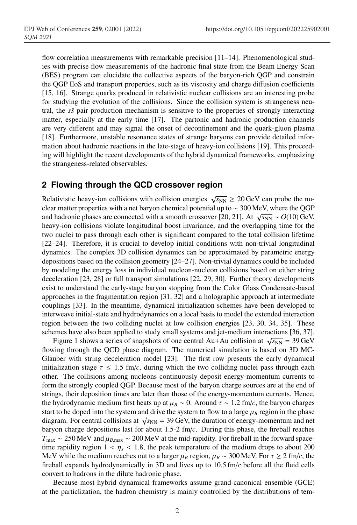flow correlation measurements with remarkable precision [11–14]. Phenomenological studies with precise flow measurements of the hadronic final state from the Beam Energy Scan (BES) program can elucidate the collective aspects of the baryon-rich QGP and constrain the QGP EoS and transport properties, such as its viscosity and charge diffusion coefficients [15, 16]. Strange quarks produced in relativistic nuclear collisions are an interesting probe for studying the evolution of the collisions. Since the collision system is strangeness neutral, the *ss*¯ pair production mechanism is sensitive to the properties of strongly-interacting matter, especially at the early time [17]. The partonic and hadronic production channels are very different and may signal the onset of deconfinement and the quark-gluon plasma [18]. Furthermore, unstable resonance states of strange baryons can provide detailed information about hadronic reactions in the late-stage of heavy-ion collisions [19]. This proceeding will highlight the recent developments of the hybrid dynamical frameworks, emphasizing the strangeness-related observables.

## **2 Flowing through the QCD crossover region**

Relativistic heavy-ion collisions with collision energies  $\sqrt{s_{NN}} \ge 20 \,\text{GeV}$  can probe the nuclear matter properties with a net baryon chemical potential up to ∼ 300 MeV, where the QGP and hadronic phases are connected with a smooth crossover [20, 21]. At  $\sqrt{s_{NN}} \sim O(10)$  GeV, heavy-ion collisions violate longitudinal boost invariance, and the overlapping time for the two nuclei to pass through each other is significant compared to the total collision lifetime [22–24]. Therefore, it is crucial to develop initial conditions with non-trivial longitudinal dynamics. The complex 3D collision dynamics can be approximated by parametric energy depositions based on the collision geometry [24–27]. Non-trivial dynamics could be included by modeling the energy loss in individual nucleon-nucleon collisions based on either string deceleration [23, 28] or full transport simulations [22, 29, 30]. Further theory developments exist to understand the early-stage baryon stopping from the Color Glass Condensate-based approaches in the fragmentation region [31, 32] and a holographic approach at intermediate couplings [33]. In the meantime, dynamical initialization schemes have been developed to interweave initial-state and hydrodynamics on a local basis to model the extended interaction region between the two colliding nuclei at low collision energies [23, 30, 34, 35]. These schemes have also been applied to study small systems and jet-medium interactions [36, 37].

Figure 1 shows a series of snapshots of one central Au+Au collision at  $\sqrt{s_{NN}} = 39 \,\text{GeV}$ flowing through the QCD phase diagram. The numerical simulation is based on 3D MC-Glauber with string deceleration model [23]. The first row presents the early dynamical initialization stage  $\tau \leq 1.5$  fm/*c*, during which the two colliding nuclei pass through each other. The collisions among nucleons continuously deposit energy-momentum currents to form the strongly coupled QGP. Because most of the baryon charge sources are at the end of strings, their deposition times are later than those of the energy-momentum currents. Hence, the hydrodynamic medium first heats up at  $\mu_B \sim 0$ . Around  $\tau \sim 1.2$  fm/*c*, the baryon charges start to be doped into the system and drive the system to flow to a large  $\mu_B$  region in the phase diagram. For central collisions at  $\sqrt{s_{NN}}$  = 39 GeV, the duration of energy-momentum and net baryon charge depositions last for about 1.5-2 fm/*c*. During this phase, the fireball reaches  $T_{\text{max}} \sim 250 \text{ MeV}$  and  $\mu_{B,\text{max}} \sim 200 \text{ MeV}$  at the mid-rapidity. For fireball in the forward spacetime rapidity region  $1 < \eta_s < 1.8$ , the peak temperature of the medium drops to about 200 MeV while the medium reaches out to a larger  $\mu_B$  region,  $\mu_B \sim 300$  MeV. For  $\tau \ge 2$  fm/*c*, the fireball expands hydrodynamically in 3D and lives up to 10.5 fm/*c* before all the fluid cells convert to hadrons in the dilute hadronic phase.

Because most hybrid dynamical frameworks assume grand-canonical ensemble (GCE) at the particlization, the hadron chemistry is mainly controlled by the distributions of tem-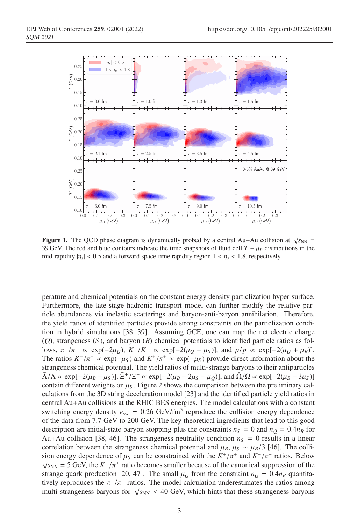

**Figure 1.** The QCD phase diagram is dynamically probed by a central Au+Au collision at  $\sqrt{s_{NN}}$  = 39 GeV. The red and blue contours indicate the time snapshots of fluid cell  $T - \mu_B$  distributions in the mid-rapidity  $|\eta_s|$  < 0.5 and a forward space-time rapidity region  $1 < \eta_s < 1.8$ , respectively.

perature and chemical potentials on the constant energy density particlization hyper-surface. Furthermore, the late-stage hadronic transport model can further modify the relative particle abundances via inelastic scatterings and baryon-anti-baryon annihilation. Therefore, the yield ratios of identified particles provide strong constraints on the particlization condition in hybrid simulations [38, 39]. Assuming GCE, one can map the net electric charge (*Q*), strangeness (*S* ), and baryon (*B*) chemical potentials to identified particle ratios as follows,  $\pi^{-}/\pi^{+} \propto \exp(-2\mu_{Q}), K^{-}/K^{+} \propto \exp[-2(\mu_{Q} + \mu_{S})],$  and  $\bar{p}/p \propto \exp[-2(\mu_{Q} + \mu_{B})].$ The ratios  $K^{-}/\pi^{-} \propto \exp(-\mu_S)$  and  $K^{+}/\pi^{+} \propto \exp(+\mu_S)$  provide direct information about the strangeness chemical potential. The yield ratios of multi-strange baryons to their antiparticles  $\overline{\Lambda}/\Lambda \propto \exp[-2(\mu_B - \mu_S)], \overline{\Xi}^+/\Xi^- \propto \exp[-2(\mu_B - 2\mu_S - \mu_O)],$  and  $\overline{\Omega}/\Omega \propto \exp[-2(\mu_B - 3\mu_S)]$ contain different weights on  $\mu_s$ . Figure 2 shows the comparison between the preliminary calculations from the 3D string deceleration model [23] and the identified particle yield ratios in central Au+Au collisions at the RHIC BES energies. The model calculations with a constant switching energy density  $e_{sw} = 0.26 \text{ GeV/fm}^3$  reproduce the collision energy dependence of the data from 7.7 GeV to 200 GeV. The key theoretical ingredients that lead to this good description are initial-state baryon stopping plus the constraints  $n_S = 0$  and  $n_Q = 0.4n_B$  for Au+Au collision [38, 46]. The strangeness neutrality condition  $n<sub>S</sub> = 0$  results in a linear correlation between the strangeness chemical potential and  $\mu_B$ ,  $\mu_S \sim \mu_B/3$  [46]. The collision energy dependence of  $\mu_S$  can be constrained with the  $K^+/\pi^+$  and  $K^-/\pi^-$  ratios. Below  $\sqrt{s_{NN}}$  = 5 GeV, the  $K^+/\pi^+$  ratio becomes smaller because of the canonical suppression of the strange quark production [20, 47]. The small  $\mu<sub>O</sub>$  from the constraint  $n<sub>O</sub> = 0.4n<sub>B</sub>$  quantitatively reproduces the  $\pi^{-}/\pi^{+}$  ratios. The model calculation underestimates the ratios among multi-strangeness baryons for  $\sqrt{s_{NN}}$  < 40 GeV, which hints that these strangeness baryons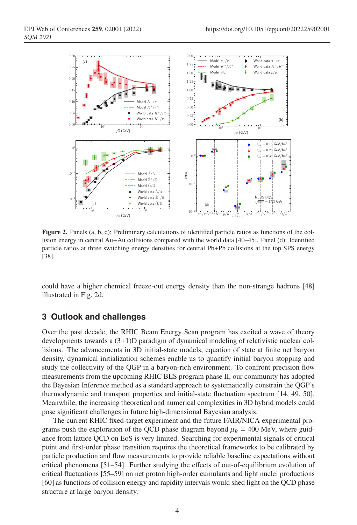

Figure 2. Panels (a, b, c): Preliminary calculations of identified particle ratios as functions of the collision energy in central Au+Au collisions compared with the world data [40–45]. Panel (d): Identified particle ratios at three switching energy densities for central Pb+Pb collisions at the top SPS energy [38].

could have a higher chemical freeze-out energy density than the non-strange hadrons [48] illustrated in Fig. 2d.

### **3 Outlook and challenges**

Over the past decade, the RHIC Beam Energy Scan program has excited a wave of theory developments towards a (3+1)D paradigm of dynamical modeling of relativistic nuclear collisions. The advancements in 3D initial-state models, equation of state at finite net baryon density, dynamical initialization schemes enable us to quantify initial baryon stopping and study the collectivity of the QGP in a baryon-rich environment. To confront precision flow measurements from the upcoming RHIC BES program phase II, our community has adopted the Bayesian Inference method as a standard approach to systematically constrain the QGP's thermodynamic and transport properties and initial-state fluctuation spectrum [14, 49, 50]. Meanwhile, the increasing theoretical and numerical complexities in 3D hybrid models could pose significant challenges in future high-dimensional Bayesian analysis.

The current RHIC fixed-target experiment and the future FAIR/NICA experimental programs push the exploration of the QCD phase diagram beyond  $\mu_B = 400$  MeV, where guidance from lattice QCD on EoS is very limited. Searching for experimental signals of critical point and first-order phase transition requires the theoretical frameworks to be calibrated by particle production and flow measurements to provide reliable baseline expectations without critical phenomena [51–54]. Further studying the effects of out-of-equilibrium evolution of critical fluctuations [55–59] on net proton high-order cumulants and light nuclei productions [60] as functions of collision energy and rapidity intervals would shed light on the QCD phase structure at large baryon density.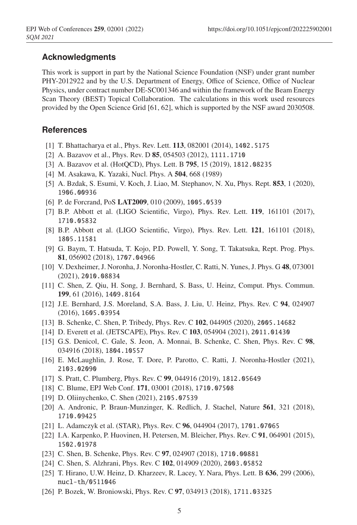## **Acknowledgments**

This work is support in part by the National Science Foundation (NSF) under grant number PHY-2012922 and by the U.S. Department of Energy, Office of Science, Office of Nuclear Physics, under contract number DE-SC001346 and within the framework of the Beam Energy Scan Theory (BEST) Topical Collaboration. The calculations in this work used resources provided by the Open Science Grid [61, 62], which is supported by the NSF award 2030508.

#### **References**

- [1] T. Bhattacharya et al., Phys. Rev. Lett. **113**, 082001 (2014), 1402.5175
- [2] A. Bazavov et al., Phys. Rev. D 85, 054503 (2012), 1111.1710
- [3] A. Bazavov et al. (HotQCD), Phys. Lett. B 795, 15 (2019), 1812.08235
- [4] M. Asakawa, K. Yazaki, Nucl. Phys. A 504, 668 (1989)
- [5] A. Bzdak, S. Esumi, V. Koch, J. Liao, M. Stephanov, N. Xu, Phys. Rept. 853, 1 (2020), 1906.00936
- [6] P. de Forcrand, PoS LAT2009, 010 (2009), 1005.0539
- [7] B.P. Abbott et al. (LIGO Scientific, Virgo), Phys. Rev. Lett. 119, 161101 (2017), 1710.05832
- [8] B.P. Abbott et al. (LIGO Scientific, Virgo), Phys. Rev. Lett. 121, 161101 (2018), 1805.11581
- [9] G. Baym, T. Hatsuda, T. Kojo, P.D. Powell, Y. Song, T. Takatsuka, Rept. Prog. Phys. 81, 056902 (2018), 1707.04966
- [10] V. Dexheimer, J. Noronha, J. Noronha-Hostler, C. Ratti, N. Yunes, J. Phys. G 48, 073001 (2021), 2010.08834
- [11] C. Shen, Z. Qiu, H. Song, J. Bernhard, S. Bass, U. Heinz, Comput. Phys. Commun. 199, 61 (2016), 1409.8164
- [12] J.E. Bernhard, J.S. Moreland, S.A. Bass, J. Liu, U. Heinz, Phys. Rev. C 94, 024907 (2016), 1605.03954
- [13] B. Schenke, C. Shen, P. Tribedy, Phys. Rev. C 102, 044905 (2020), 2005.14682
- [14] D. Everett et al. (JETSCAPE), Phys. Rev. C 103, 054904 (2021), 2011.01430
- [15] G.S. Denicol, C. Gale, S. Jeon, A. Monnai, B. Schenke, C. Shen, Phys. Rev. C 98, 034916 (2018), 1804.10557
- [16] E. McLaughlin, J. Rose, T. Dore, P. Parotto, C. Ratti, J. Noronha-Hostler (2021), 2103.02090
- [17] S. Pratt, C. Plumberg, Phys. Rev. C 99, 044916 (2019), 1812.05649
- [18] C. Blume, EPJ Web Conf. 171, 03001 (2018), 1710.07508
- [19] D. Oliinychenko, C. Shen (2021), 2105.07539
- [20] A. Andronic, P. Braun-Munzinger, K. Redlich, J. Stachel, Nature 561, 321 (2018), 1710.09425
- [21] L. Adamczyk et al. (STAR), Phys. Rev. C 96, 044904 (2017), 1701.07065
- [22] I.A. Karpenko, P. Huovinen, H. Petersen, M. Bleicher, Phys. Rev. C 91, 064901 (2015), 1502.01978
- [23] C. Shen, B. Schenke, Phys. Rev. C 97, 024907 (2018), 1710.00881
- [24] C. Shen, S. Alzhrani, Phys. Rev. C 102, 014909 (2020), 2003.05852
- [25] T. Hirano, U.W. Heinz, D. Kharzeev, R. Lacey, Y. Nara, Phys. Lett. B 636, 299 (2006), nucl-th/0511046
- [26] P. Bozek, W. Broniowski, Phys. Rev. C 97, 034913 (2018), 1711.03325